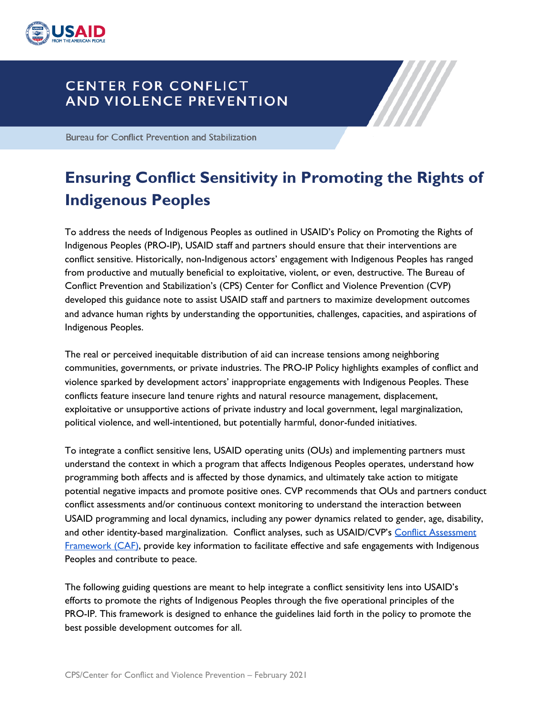

## **CENTER FOR CONFLICT AND VIOLENCE PREVENTION**

**Bureau for Conflict Prevention and Stabilization** 

# **Ensuring Conflict Sensitivity in Promoting the Rights of Indigenous Peoples**

 To address the needs of Indigenous Peoples as outlined in USAID's Policy on Promoting the Rights of Indigenous Peoples (PRO-IP), USAID staff and partners should ensure that their interventions are conflict sensitive. Historically, non-Indigenous actors' engagement with Indigenous Peoples has ranged from productive and mutually beneficial to exploitative, violent, or even, destructive. The Bureau of Conflict Prevention and Stabilization's (CPS) Center for Conflict and Violence Prevention (CVP) developed this guidance note to assist USAID staff and partners to maximize development outcomes and advance human rights by understanding the opportunities, challenges, capacities, and aspirations of Indigenous Peoples.

 The real or perceived inequitable distribution of aid can increase tensions among neighboring communities, governments, or private industries. The PRO-IP Policy highlights examples of conflict and violence sparked by development actors' inappropriate engagements with Indigenous Peoples. These conflicts feature insecure land tenure rights and natural resource management, displacement, exploitative or unsupportive actions of private industry and local government, legal marginalization, political violence, and well-intentioned, but potentially harmful, donor-funded initiatives.

 To integrate a conflict sensitive lens, USAID operating units (OUs) and implementing partners must understand the context in which a program that affects Indigenous Peoples operates, understand how programming both affects and is affected by those dynamics, and ultimately take action to mitigate potential negative impacts and promote positive ones. CVP recommends that OUs and partners conduct conflict assessments and/or continuous context monitoring to understand the interaction between USAID programming and local dynamics, including any power dynamics related to gender, age, disability, and other identity-based marginalization. Conflict analyses, such as USAID/CVP's <u>Conflict [Assessment](https://pdf.usaid.gov/pdf_docs/pnady739.pdf)</u> [Framework](https://pdf.usaid.gov/pdf_docs/pnady739.pdf) (CAF), provide key information to facilitate effective and safe engagements with Indigenous Peoples and contribute to peace.

 The following guiding questions are meant to help integrate a conflict sensitivity lens into USAID's efforts to promote the rights of Indigenous Peoples through the five operational principles of the PRO-IP. This framework is designed to enhance the guidelines laid forth in the policy to promote the best possible development outcomes for all.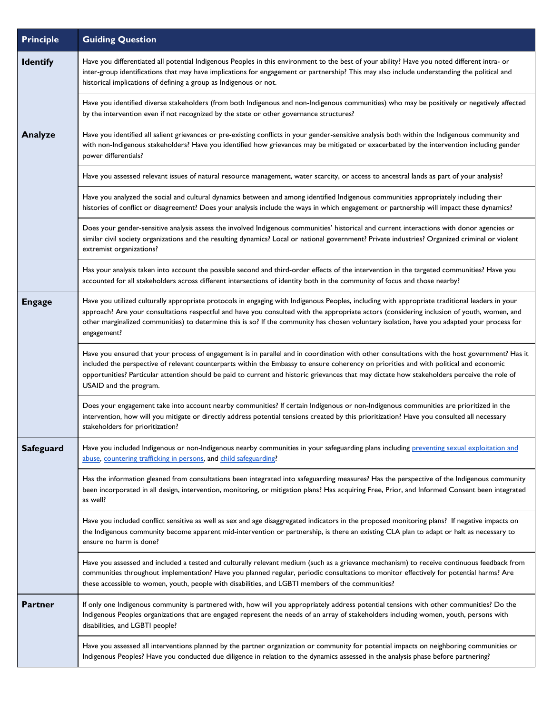| <b>Principle</b> | <b>Guiding Question</b>                                                                                                                                                                                                                                                                                                                                                                                                                                           |
|------------------|-------------------------------------------------------------------------------------------------------------------------------------------------------------------------------------------------------------------------------------------------------------------------------------------------------------------------------------------------------------------------------------------------------------------------------------------------------------------|
| <b>Identify</b>  | Have you differentiated all potential Indigenous Peoples in this environment to the best of your ability? Have you noted different intra- or<br>inter-group identifications that may have implications for engagement or partnership? This may also include understanding the political and<br>historical implications of defining a group as Indigenous or not.                                                                                                  |
|                  | Have you identified diverse stakeholders (from both Indigenous and non-Indigenous communities) who may be positively or negatively affected<br>by the intervention even if not recognized by the state or other governance structures?                                                                                                                                                                                                                            |
| <b>Analyze</b>   | Have you identified all salient grievances or pre-existing conflicts in your gender-sensitive analysis both within the Indigenous community and<br>with non-Indigenous stakeholders? Have you identified how grievances may be mitigated or exacerbated by the intervention including gender<br>power differentials?                                                                                                                                              |
|                  | Have you assessed relevant issues of natural resource management, water scarcity, or access to ancestral lands as part of your analysis?                                                                                                                                                                                                                                                                                                                          |
|                  | Have you analyzed the social and cultural dynamics between and among identified Indigenous communities appropriately including their<br>histories of conflict or disagreement? Does your analysis include the ways in which engagement or partnership will impact these dynamics?                                                                                                                                                                                 |
|                  | Does your gender-sensitive analysis assess the involved Indigenous communities' historical and current interactions with donor agencies or<br>similar civil society organizations and the resulting dynamics? Local or national government? Private industries? Organized criminal or violent<br>extremist organizations?                                                                                                                                         |
|                  | Has your analysis taken into account the possible second and third-order effects of the intervention in the targeted communities? Have you<br>accounted for all stakeholders across different intersections of identity both in the community of focus and those nearby?                                                                                                                                                                                          |
| <b>Engage</b>    | Have you utilized culturally appropriate protocols in engaging with Indigenous Peoples, including with appropriate traditional leaders in your<br>approach? Are your consultations respectful and have you consulted with the appropriate actors (considering inclusion of youth, women, and<br>other marginalized communities) to determine this is so? If the community has chosen voluntary isolation, have you adapted your process for<br>engagement?        |
|                  | Have you ensured that your process of engagement is in parallel and in coordination with other consultations with the host government? Has it<br>included the perspective of relevant counterparts within the Embassy to ensure coherency on priorities and with political and economic<br>opportunities? Particular attention should be paid to current and historic grievances that may dictate how stakeholders perceive the role of<br>USAID and the program. |
|                  | Does your engagement take into account nearby communities? If certain Indigenous or non-Indigenous communities are prioritized in the<br>intervention, how will you mitigate or directly address potential tensions created by this prioritization? Have you consulted all necessary<br>stakeholders for prioritization?                                                                                                                                          |
| <b>Safeguard</b> | Have you included Indigenous or non-Indigenous nearby communities in your safeguarding plans including preventing sexual exploitation and<br>abuse, countering trafficking in persons, and child safeguarding?                                                                                                                                                                                                                                                    |
|                  | Has the information gleaned from consultations been integrated into safeguarding measures? Has the perspective of the Indigenous community<br>been incorporated in all design, intervention, monitoring, or mitigation plans? Has acquiring Free, Prior, and Informed Consent been integrated<br>as well?                                                                                                                                                         |
|                  | Have you included conflict sensitive as well as sex and age disaggregated indicators in the proposed monitoring plans? If negative impacts on<br>the Indigenous community become apparent mid-intervention or partnership, is there an existing CLA plan to adapt or halt as necessary to<br>ensure no harm is done?                                                                                                                                              |
|                  | Have you assessed and included a tested and culturally relevant medium (such as a grievance mechanism) to receive continuous feedback from<br>communities throughout implementation? Have you planned regular, periodic consultations to monitor effectively for potential harms? Are<br>these accessible to women, youth, people with disabilities, and LGBTI members of the communities?                                                                        |
| Partner          | If only one Indigenous community is partnered with, how will you appropriately address potential tensions with other communities? Do the<br>Indigenous Peoples organizations that are engaged represent the needs of an array of stakeholders including women, youth, persons with<br>disabilities, and LGBTI people?                                                                                                                                             |
|                  | Have you assessed all interventions planned by the partner organization or community for potential impacts on neighboring communities or<br>Indigenous Peoples? Have you conducted due diligence in relation to the dynamics assessed in the analysis phase before partnering?                                                                                                                                                                                    |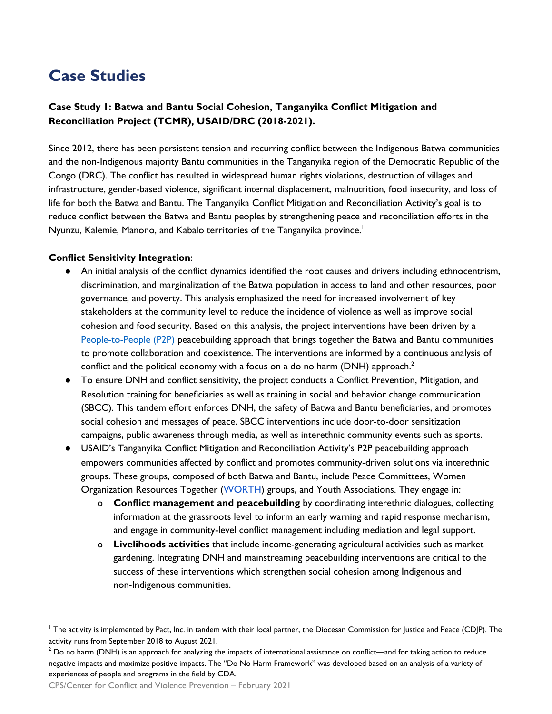## **Case Studies**

### **Case Study 1: Batwa and Bantu Social Cohesion, Tanganyika Conflict Mitigation and Reconciliation Project (TCMR), USAID/DRC (2018-2021).**

 Since 2012, there has been persistent tension and recurring conflict between the Indigenous Batwa communities and the non-Indigenous majority Bantu communities in the Tanganyika region of the Democratic Republic of the Congo (DRC). The conflict has resulted in widespread human rights violations, destruction of villages and infrastructure, gender-based violence, significant internal displacement, malnutrition, food insecurity, and loss of life for both the Batwa and Bantu. The Tanganyika Conflict Mitigation and Reconciliation Activity's goal is to reduce conflict between the Batwa and Bantu peoples by strengthening peace and reconciliation efforts in the Nyunzu, Kalemie, Manono, and Kabalo territories of the Tanganyika province.<sup>1</sup>

#### **Conflict Sensitivity Integration**:

- ● An initial analysis of the conflict dynamics identified the root causes and drivers including ethnocentrism, discrimination, and marginalization of the Batwa population in access to land and other resources, poor governance, and poverty. This analysis emphasized the need for increased involvement of key stakeholders at the community level to reduce the incidence of violence as well as improve social cohesion and food security. Based on this analysis, the project interventions have been driven by a [People-to-People](https://www.usaid.gov/sites/default/files/documents/1866/CMMP2PGuidelines2010-01-19.pdf) (P2P) peacebuilding approach that brings together the Batwa and Bantu communities to promote collaboration and coexistence. The interventions are informed by a continuous analysis of conflict and the political economy with a focus on a do no harm (DNH) approach. $^2$
- ● To ensure DNH and conflict sensitivity, the project conducts a Conflict Prevention, Mitigation, and Resolution training for beneficiaries as well as training in social and behavior change communication (SBCC). This tandem effort enforces DNH, the safety of Batwa and Bantu beneficiaries, and promotes social cohesion and messages of peace. SBCC interventions include door-to-door sensitization campaigns, public awareness through media, as well as interethnic community events such as sports.
- ● USAID's Tanganyika Conflict Mitigation and Reconciliation Activity's P2P peacebuilding approach empowers communities affected by conflict and promotes community-driven solutions via interethnic groups. These groups, composed of both Batwa and Bantu, include Peace Committees, Women Organization Resources Together (<u>WORTH)</u> groups, and Youth Associations. They engage in:
	- o **Conflict management and peacebuilding** by coordinating interethnic dialogues, collecting information at the grassroots level to inform an early warning and rapid response mechanism, and engage in community-level conflict management including mediation and legal support.
	- o **Livelihoods activities** that include income-generating agricultural activities such as market gardening. Integrating DNH and mainstreaming peacebuilding interventions are critical to the success of these interventions which strengthen social cohesion among Indigenous and non-Indigenous communities.

CPS/Center for Conflict and Violence Prevention – February 2021

 $^{\prime}$  The activity is implemented by Pact, Inc. in tandem with their local partner, the Diocesan Commission for Justice and Peace (CDJP). The activity runs from September 2018 to August 2021.

 $^2$  Do no harm (DNH) is an approach for analyzing the impacts of international assistance on conflict—and for taking action to reduce negative impacts and maximize positive impacts. The "Do No Harm Framework" was developed based on an analysis of a variety of experiences of people and programs in the field by CDA.